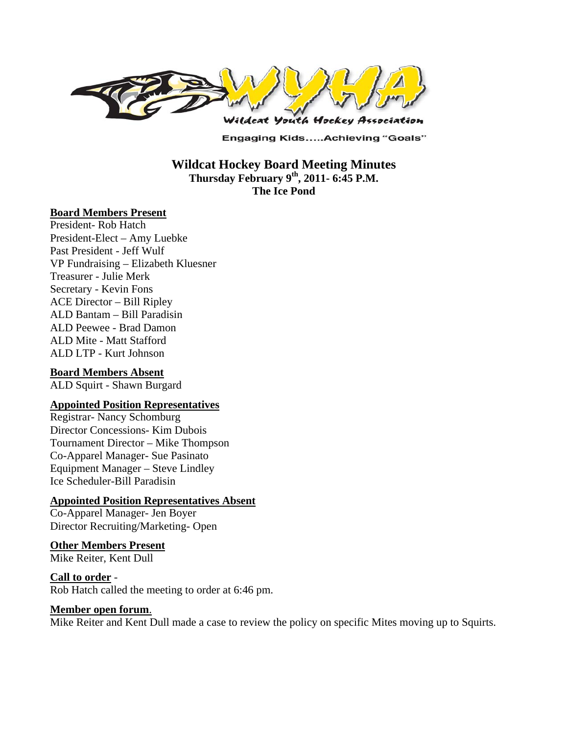

**Engaging Kids.....Achieving "Goals"** 

## **Wildcat Hockey Board Meeting Minutes Thursday February 9th, 2011- 6:45 P.M. The Ice Pond**

### **Board Members Present**

President- Rob Hatch President-Elect – Amy Luebke Past President - Jeff Wulf VP Fundraising – Elizabeth Kluesner Treasurer - Julie Merk Secretary - Kevin Fons ACE Director – Bill Ripley ALD Bantam – Bill Paradisin ALD Peewee - Brad Damon ALD Mite - Matt Stafford ALD LTP - Kurt Johnson

### **Board Members Absent**

ALD Squirt - Shawn Burgard

### **Appointed Position Representatives**

Registrar- Nancy Schomburg Director Concessions- Kim Dubois Tournament Director – Mike Thompson Co-Apparel Manager- Sue Pasinato Equipment Manager – Steve Lindley Ice Scheduler-Bill Paradisin

### **Appointed Position Representatives Absent**

Co-Apparel Manager- Jen Boyer Director Recruiting/Marketing- Open

### **Other Members Present**

Mike Reiter, Kent Dull

**Call to order** - Rob Hatch called the meeting to order at 6:46 pm.

#### **Member open forum**.

Mike Reiter and Kent Dull made a case to review the policy on specific Mites moving up to Squirts.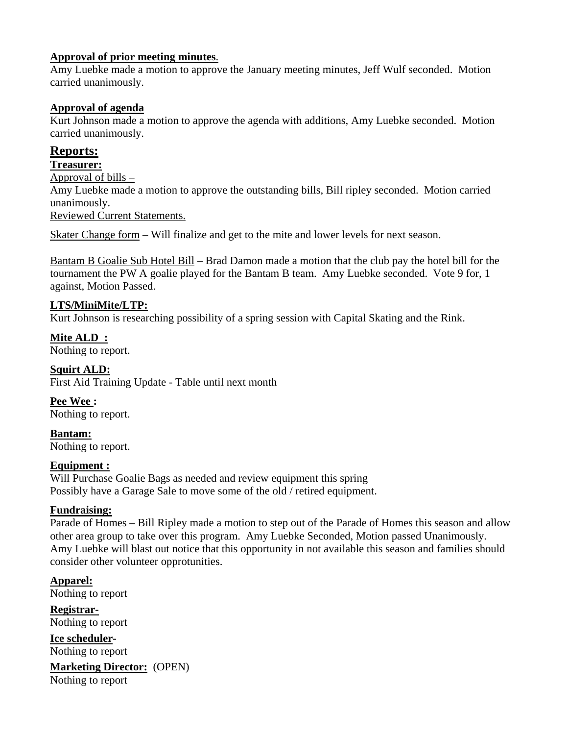## **Approval of prior meeting minutes**.

Amy Luebke made a motion to approve the January meeting minutes, Jeff Wulf seconded. Motion carried unanimously.

## **Approval of agenda**

Kurt Johnson made a motion to approve the agenda with additions, Amy Luebke seconded. Motion carried unanimously.

# **Reports:**

**Treasurer:** 

Approval of bills – Amy Luebke made a motion to approve the outstanding bills, Bill ripley seconded. Motion carried unanimously. Reviewed Current Statements.

Skater Change form – Will finalize and get to the mite and lower levels for next season.

Bantam B Goalie Sub Hotel Bill – Brad Damon made a motion that the club pay the hotel bill for the tournament the PW A goalie played for the Bantam B team. Amy Luebke seconded. Vote 9 for, 1 against, Motion Passed.

## **LTS/MiniMite/LTP:**

Kurt Johnson is researching possibility of a spring session with Capital Skating and the Rink.

**Mite ALD :**  Nothing to report.

**Squirt ALD:**  First Aid Training Update - Table until next month

**Pee Wee :**  Nothing to report.

**Bantam:**  Nothing to report.

### **Equipment :**

Will Purchase Goalie Bags as needed and review equipment this spring Possibly have a Garage Sale to move some of the old / retired equipment.

## **Fundraising:**

Parade of Homes – Bill Ripley made a motion to step out of the Parade of Homes this season and allow other area group to take over this program. Amy Luebke Seconded, Motion passed Unanimously. Amy Luebke will blast out notice that this opportunity in not available this season and families should consider other volunteer opprotunities.

**Apparel:**  Nothing to report **Registrar-**

Nothing to report

**Ice scheduler-**Nothing to report

**Marketing Director:** (OPEN) Nothing to report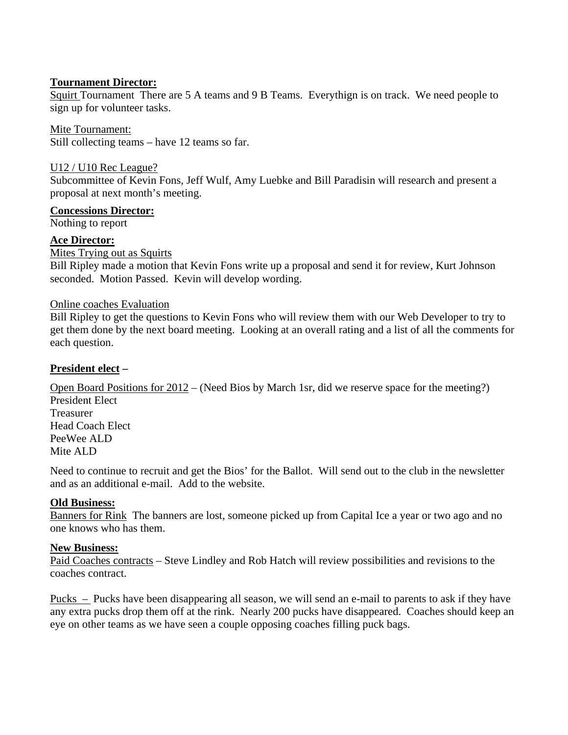## **Tournament Director:**

Squirt Tournament There are 5 A teams and 9 B Teams. Everythign is on track. We need people to sign up for volunteer tasks.

Mite Tournament: Still collecting teams – have 12 teams so far.

U12 / U10 Rec League?

Subcommittee of Kevin Fons, Jeff Wulf, Amy Luebke and Bill Paradisin will research and present a proposal at next month's meeting.

## **Concessions Director:**

Nothing to report

## **Ace Director:**

Mites Trying out as Squirts

Bill Ripley made a motion that Kevin Fons write up a proposal and send it for review, Kurt Johnson seconded. Motion Passed. Kevin will develop wording.

### Online coaches Evaluation

Bill Ripley to get the questions to Kevin Fons who will review them with our Web Developer to try to get them done by the next board meeting. Looking at an overall rating and a list of all the comments for each question.

## **President elect –**

Open Board Positions for 2012 – (Need Bios by March 1sr, did we reserve space for the meeting?) President Elect

Treasurer Head Coach Elect PeeWee ALD Mite ALD

Need to continue to recruit and get the Bios' for the Ballot. Will send out to the club in the newsletter and as an additional e-mail. Add to the website.

### **Old Business:**

Banners for Rink The banners are lost, someone picked up from Capital Ice a year or two ago and no one knows who has them.

## **New Business:**

Paid Coaches contracts – Steve Lindley and Rob Hatch will review possibilities and revisions to the coaches contract.

Pucks – Pucks have been disappearing all season, we will send an e-mail to parents to ask if they have any extra pucks drop them off at the rink. Nearly 200 pucks have disappeared. Coaches should keep an eye on other teams as we have seen a couple opposing coaches filling puck bags.